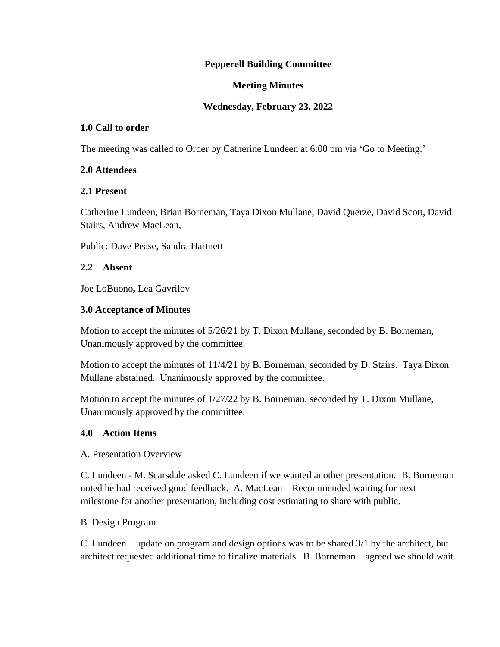# **Pepperell Building Committee**

# **Meeting Minutes**

# **Wednesday, February 23, 2022**

# **1.0 Call to order**

The meeting was called to Order by Catherine Lundeen at 6:00 pm via 'Go to Meeting.'

## **2.0 Attendees**

## **2.1 Present**

Catherine Lundeen, Brian Borneman, Taya Dixon Mullane, David Querze, David Scott, David Stairs, Andrew MacLean,

Public: Dave Pease, Sandra Hartnett

## **2.2 Absent**

Joe LoBuono**,** Lea Gavrilov

# **3.0 Acceptance of Minutes**

Motion to accept the minutes of 5/26/21 by T. Dixon Mullane, seconded by B. Borneman, Unanimously approved by the committee.

Motion to accept the minutes of 11/4/21 by B. Borneman, seconded by D. Stairs. Taya Dixon Mullane abstained. Unanimously approved by the committee.

Motion to accept the minutes of 1/27/22 by B. Borneman, seconded by T. Dixon Mullane, Unanimously approved by the committee.

# **4.0 Action Items**

#### A. Presentation Overview

C. Lundeen - M. Scarsdale asked C. Lundeen if we wanted another presentation. B. Borneman noted he had received good feedback. A. MacLean – Recommended waiting for next milestone for another presentation, including cost estimating to share with public.

#### B. Design Program

C. Lundeen – update on program and design options was to be shared 3/1 by the architect, but architect requested additional time to finalize materials. B. Borneman – agreed we should wait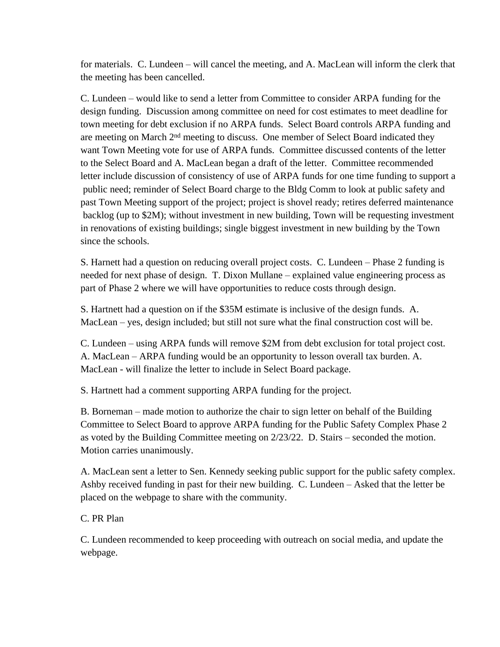for materials. C. Lundeen – will cancel the meeting, and A. MacLean will inform the clerk that the meeting has been cancelled.

C. Lundeen – would like to send a letter from Committee to consider ARPA funding for the design funding. Discussion among committee on need for cost estimates to meet deadline for town meeting for debt exclusion if no ARPA funds. Select Board controls ARPA funding and are meeting on March 2<sup>nd</sup> meeting to discuss. One member of Select Board indicated they want Town Meeting vote for use of ARPA funds. Committee discussed contents of the letter to the Select Board and A. MacLean began a draft of the letter. Committee recommended letter include discussion of consistency of use of ARPA funds for one time funding to support a public need; reminder of Select Board charge to the Bldg Comm to look at public safety and past Town Meeting support of the project; project is shovel ready; retires deferred maintenance backlog (up to \$2M); without investment in new building, Town will be requesting investment in renovations of existing buildings; single biggest investment in new building by the Town since the schools.

S. Harnett had a question on reducing overall project costs. C. Lundeen – Phase 2 funding is needed for next phase of design. T. Dixon Mullane – explained value engineering process as part of Phase 2 where we will have opportunities to reduce costs through design.

S. Hartnett had a question on if the \$35M estimate is inclusive of the design funds. A. MacLean – yes, design included; but still not sure what the final construction cost will be.

C. Lundeen – using ARPA funds will remove \$2M from debt exclusion for total project cost. A. MacLean – ARPA funding would be an opportunity to lesson overall tax burden. A. MacLean - will finalize the letter to include in Select Board package.

S. Hartnett had a comment supporting ARPA funding for the project.

B. Borneman – made motion to authorize the chair to sign letter on behalf of the Building Committee to Select Board to approve ARPA funding for the Public Safety Complex Phase 2 as voted by the Building Committee meeting on 2/23/22. D. Stairs – seconded the motion. Motion carries unanimously.

A. MacLean sent a letter to Sen. Kennedy seeking public support for the public safety complex. Ashby received funding in past for their new building. C. Lundeen – Asked that the letter be placed on the webpage to share with the community.

C. PR Plan

C. Lundeen recommended to keep proceeding with outreach on social media, and update the webpage.